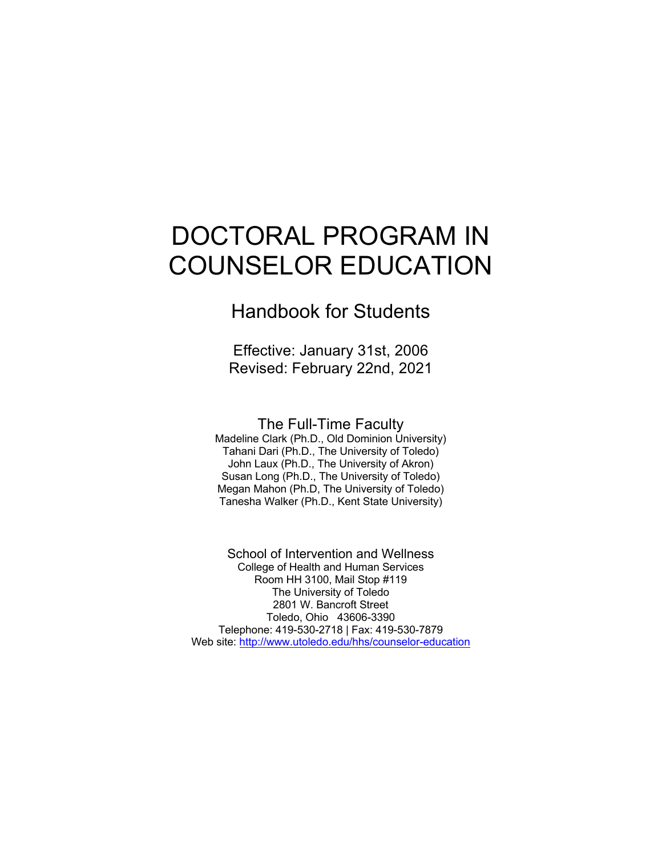# DOCTORAL PROGRAM IN COUNSELOR EDUCATION

Handbook for Students

Effective: January 31st, 2006 Revised: February 22nd, 2021

The Full-Time Faculty Madeline Clark (Ph.D., Old Dominion University)

Tahani Dari (Ph.D., The University of Toledo) John Laux (Ph.D., The University of Akron) Susan Long (Ph.D., The University of Toledo) Megan Mahon (Ph.D, The University of Toledo) Tanesha Walker (Ph.D., Kent State University)

School of Intervention and Wellness College of Health and Human Services Room HH 3100, Mail Stop #119 The University of Toledo 2801 W. Bancroft Street Toledo, Ohio 43606-3390 Telephone: 419-530-2718 | Fax: 419-530-7879 Web site: http://www.utoledo.edu/hhs/counselor-education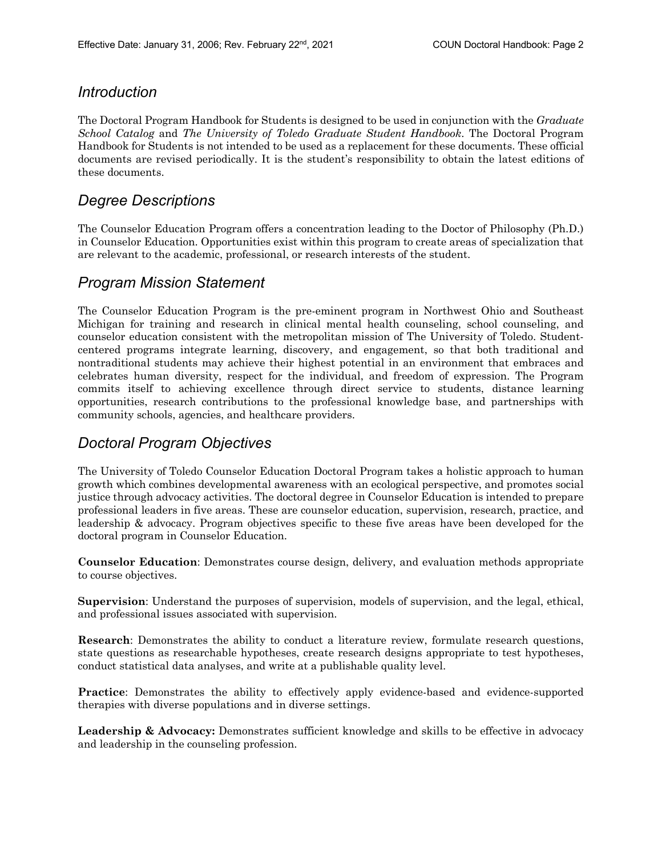### *Introduction*

The Doctoral Program Handbook for Students is designed to be used in conjunction with the *Graduate School Catalog* and *The University of Toledo Graduate Student Handbook*. The Doctoral Program Handbook for Students is not intended to be used as a replacement for these documents. These official documents are revised periodically. It is the student's responsibility to obtain the latest editions of these documents.

### *Degree Descriptions*

The Counselor Education Program offers a concentration leading to the Doctor of Philosophy (Ph.D.) in Counselor Education. Opportunities exist within this program to create areas of specialization that are relevant to the academic, professional, or research interests of the student.

### *Program Mission Statement*

The Counselor Education Program is the pre-eminent program in Northwest Ohio and Southeast Michigan for training and research in clinical mental health counseling, school counseling, and counselor education consistent with the metropolitan mission of The University of Toledo. Studentcentered programs integrate learning, discovery, and engagement, so that both traditional and nontraditional students may achieve their highest potential in an environment that embraces and celebrates human diversity, respect for the individual, and freedom of expression. The Program commits itself to achieving excellence through direct service to students, distance learning opportunities, research contributions to the professional knowledge base, and partnerships with community schools, agencies, and healthcare providers.

### *Doctoral Program Objectives*

The University of Toledo Counselor Education Doctoral Program takes a holistic approach to human growth which combines developmental awareness with an ecological perspective, and promotes social justice through advocacy activities. The doctoral degree in Counselor Education is intended to prepare professional leaders in five areas. These are counselor education, supervision, research, practice, and leadership & advocacy. Program objectives specific to these five areas have been developed for the doctoral program in Counselor Education.

**Counselor Education**: Demonstrates course design, delivery, and evaluation methods appropriate to course objectives.

**Supervision**: Understand the purposes of supervision, models of supervision, and the legal, ethical, and professional issues associated with supervision.

**Research**: Demonstrates the ability to conduct a literature review, formulate research questions, state questions as researchable hypotheses, create research designs appropriate to test hypotheses, conduct statistical data analyses, and write at a publishable quality level.

**Practice**: Demonstrates the ability to effectively apply evidence-based and evidence-supported therapies with diverse populations and in diverse settings.

Leadership & Advocacy: Demonstrates sufficient knowledge and skills to be effective in advocacy and leadership in the counseling profession.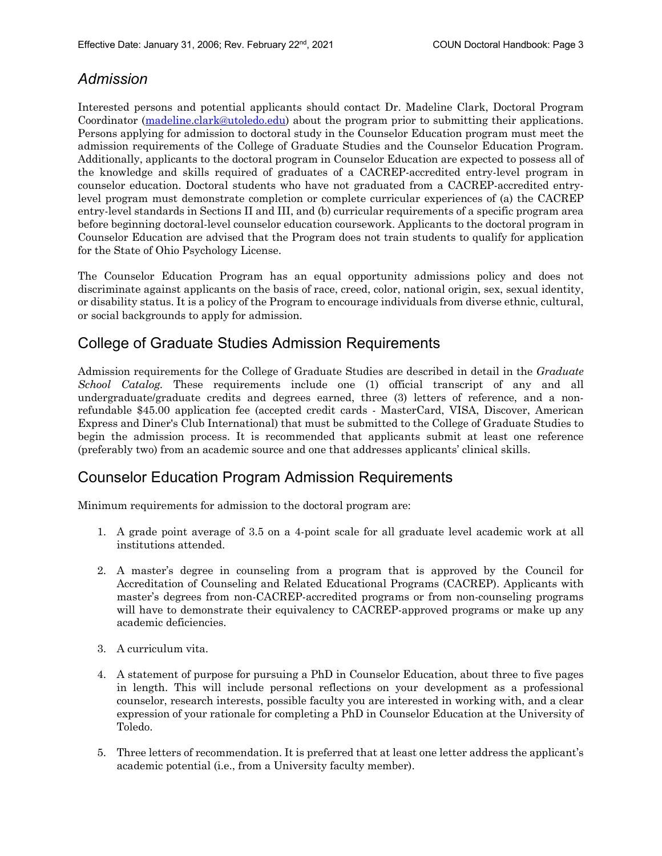# *Admission*

Interested persons and potential applicants should contact Dr. Madeline Clark, Doctoral Program Coordinator (madeline.clark@utoledo.edu) about the program prior to submitting their applications. Persons applying for admission to doctoral study in the Counselor Education program must meet the admission requirements of the College of Graduate Studies and the Counselor Education Program. Additionally, applicants to the doctoral program in Counselor Education are expected to possess all of the knowledge and skills required of graduates of a CACREP-accredited entry-level program in counselor education. Doctoral students who have not graduated from a CACREP-accredited entrylevel program must demonstrate completion or complete curricular experiences of (a) the CACREP entry-level standards in Sections II and III, and (b) curricular requirements of a specific program area before beginning doctoral-level counselor education coursework. Applicants to the doctoral program in Counselor Education are advised that the Program does not train students to qualify for application for the State of Ohio Psychology License.

The Counselor Education Program has an equal opportunity admissions policy and does not discriminate against applicants on the basis of race, creed, color, national origin, sex, sexual identity, or disability status. It is a policy of the Program to encourage individuals from diverse ethnic, cultural, or social backgrounds to apply for admission.

# College of Graduate Studies Admission Requirements

Admission requirements for the College of Graduate Studies are described in detail in the *Graduate School Catalog.* These requirements include one (1) official transcript of any and all undergraduate/graduate credits and degrees earned, three (3) letters of reference, and a nonrefundable \$45.00 application fee (accepted credit cards - MasterCard, VISA, Discover, American Express and Diner's Club International) that must be submitted to the College of Graduate Studies to begin the admission process. It is recommended that applicants submit at least one reference (preferably two) from an academic source and one that addresses applicants' clinical skills.

### Counselor Education Program Admission Requirements

Minimum requirements for admission to the doctoral program are:

- 1. A grade point average of 3.5 on a 4-point scale for all graduate level academic work at all institutions attended.
- 2. A master's degree in counseling from a program that is approved by the Council for Accreditation of Counseling and Related Educational Programs (CACREP). Applicants with master's degrees from non-CACREP-accredited programs or from non-counseling programs will have to demonstrate their equivalency to CACREP-approved programs or make up any academic deficiencies.
- 3. A curriculum vita.
- 4. A statement of purpose for pursuing a PhD in Counselor Education, about three to five pages in length. This will include personal reflections on your development as a professional counselor, research interests, possible faculty you are interested in working with, and a clear expression of your rationale for completing a PhD in Counselor Education at the University of Toledo.
- 5. Three letters of recommendation. It is preferred that at least one letter address the applicant's academic potential (i.e., from a University faculty member).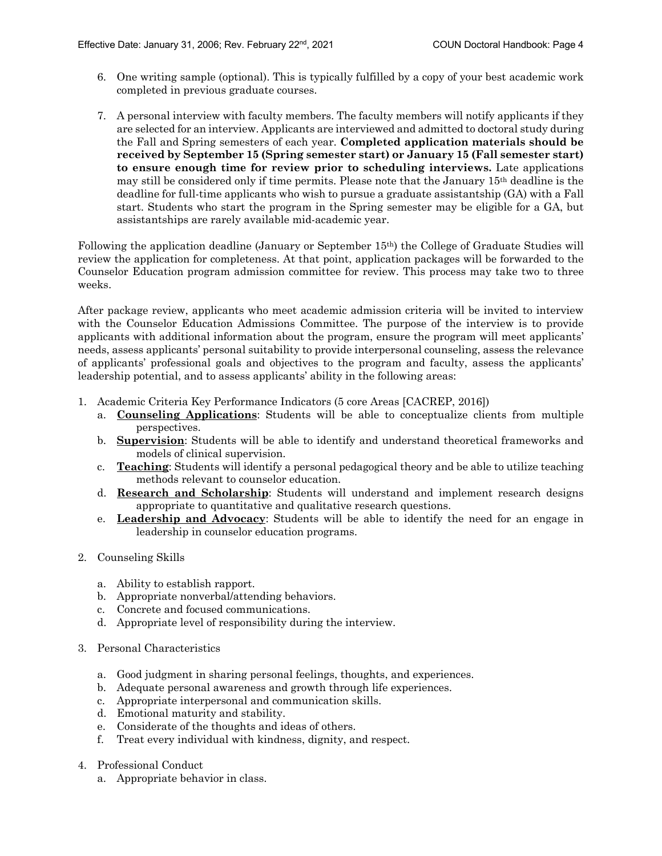- 6. One writing sample (optional). This is typically fulfilled by a copy of your best academic work completed in previous graduate courses.
- 7. A personal interview with faculty members. The faculty members will notify applicants if they are selected for an interview. Applicants are interviewed and admitted to doctoral study during the Fall and Spring semesters of each year. **Completed application materials should be received by September 15 (Spring semester start) or January 15 (Fall semester start) to ensure enough time for review prior to scheduling interviews.** Late applications may still be considered only if time permits. Please note that the January 15th deadline is the deadline for full-time applicants who wish to pursue a graduate assistantship (GA) with a Fall start. Students who start the program in the Spring semester may be eligible for a GA, but assistantships are rarely available mid-academic year.

Following the application deadline (January or September 15th) the College of Graduate Studies will review the application for completeness. At that point, application packages will be forwarded to the Counselor Education program admission committee for review. This process may take two to three weeks.

After package review, applicants who meet academic admission criteria will be invited to interview with the Counselor Education Admissions Committee. The purpose of the interview is to provide applicants with additional information about the program, ensure the program will meet applicants' needs, assess applicants' personal suitability to provide interpersonal counseling, assess the relevance of applicants' professional goals and objectives to the program and faculty, assess the applicants' leadership potential, and to assess applicants' ability in the following areas:

- 1. Academic Criteria Key Performance Indicators (5 core Areas [CACREP, 2016])
	- a. **Counseling Applications**: Students will be able to conceptualize clients from multiple perspectives.
	- b. **Supervision**: Students will be able to identify and understand theoretical frameworks and models of clinical supervision.
	- c. **Teaching**: Students will identify a personal pedagogical theory and be able to utilize teaching methods relevant to counselor education.
	- d. **Research and Scholarship**: Students will understand and implement research designs appropriate to quantitative and qualitative research questions.
	- e. **Leadership and Advocacy**: Students will be able to identify the need for an engage in leadership in counselor education programs.
- 2. Counseling Skills
	- a. Ability to establish rapport.
	- b. Appropriate nonverbal/attending behaviors.
	- c. Concrete and focused communications.
	- d. Appropriate level of responsibility during the interview.
- 3. Personal Characteristics
	- a. Good judgment in sharing personal feelings, thoughts, and experiences.
	- b. Adequate personal awareness and growth through life experiences.
	- c. Appropriate interpersonal and communication skills.
	- d. Emotional maturity and stability.
	- e. Considerate of the thoughts and ideas of others.
	- f. Treat every individual with kindness, dignity, and respect.
- 4. Professional Conduct
	- a. Appropriate behavior in class.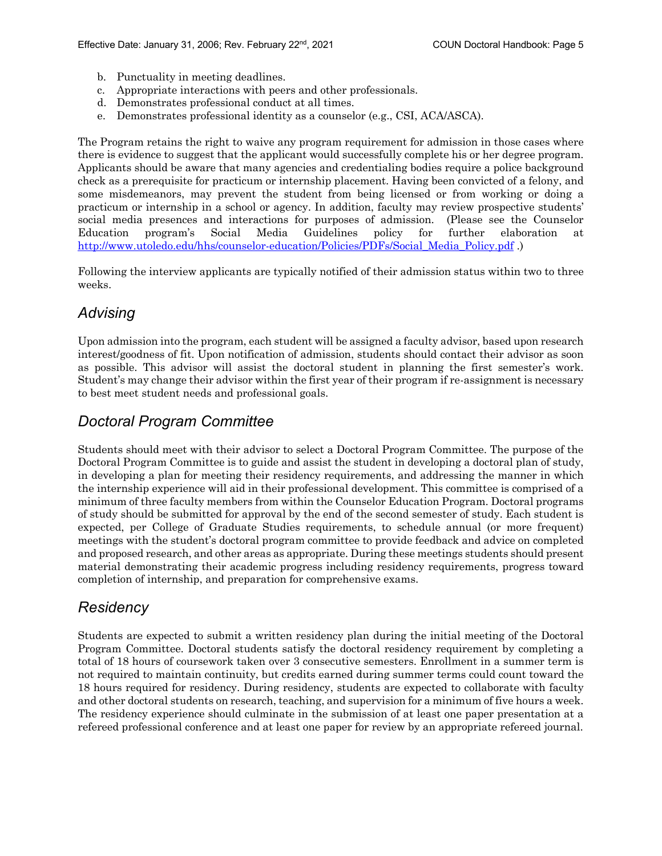- b. Punctuality in meeting deadlines.
- c. Appropriate interactions with peers and other professionals.
- d. Demonstrates professional conduct at all times.
- e. Demonstrates professional identity as a counselor (e.g., CSI, ACA/ASCA).

The Program retains the right to waive any program requirement for admission in those cases where there is evidence to suggest that the applicant would successfully complete his or her degree program. Applicants should be aware that many agencies and credentialing bodies require a police background check as a prerequisite for practicum or internship placement. Having been convicted of a felony, and some misdemeanors, may prevent the student from being licensed or from working or doing a practicum or internship in a school or agency. In addition, faculty may review prospective students' social media presences and interactions for purposes of admission. (Please see the Counselor Education program's Social Media Guidelines policy for further elaboration at http://www.utoledo.edu/hhs/counselor-education/Policies/PDFs/Social\_Media\_Policy.pdf .)

Following the interview applicants are typically notified of their admission status within two to three weeks.

### *Advising*

Upon admission into the program, each student will be assigned a faculty advisor, based upon research interest/goodness of fit. Upon notification of admission, students should contact their advisor as soon as possible. This advisor will assist the doctoral student in planning the first semester's work. Student's may change their advisor within the first year of their program if re-assignment is necessary to best meet student needs and professional goals.

## *Doctoral Program Committee*

Students should meet with their advisor to select a Doctoral Program Committee. The purpose of the Doctoral Program Committee is to guide and assist the student in developing a doctoral plan of study, in developing a plan for meeting their residency requirements, and addressing the manner in which the internship experience will aid in their professional development. This committee is comprised of a minimum of three faculty members from within the Counselor Education Program. Doctoral programs of study should be submitted for approval by the end of the second semester of study. Each student is expected, per College of Graduate Studies requirements, to schedule annual (or more frequent) meetings with the student's doctoral program committee to provide feedback and advice on completed and proposed research, and other areas as appropriate. During these meetings students should present material demonstrating their academic progress including residency requirements, progress toward completion of internship, and preparation for comprehensive exams.

### *Residency*

Students are expected to submit a written residency plan during the initial meeting of the Doctoral Program Committee. Doctoral students satisfy the doctoral residency requirement by completing a total of 18 hours of coursework taken over 3 consecutive semesters. Enrollment in a summer term is not required to maintain continuity, but credits earned during summer terms could count toward the 18 hours required for residency. During residency, students are expected to collaborate with faculty and other doctoral students on research, teaching, and supervision for a minimum of five hours a week. The residency experience should culminate in the submission of at least one paper presentation at a refereed professional conference and at least one paper for review by an appropriate refereed journal.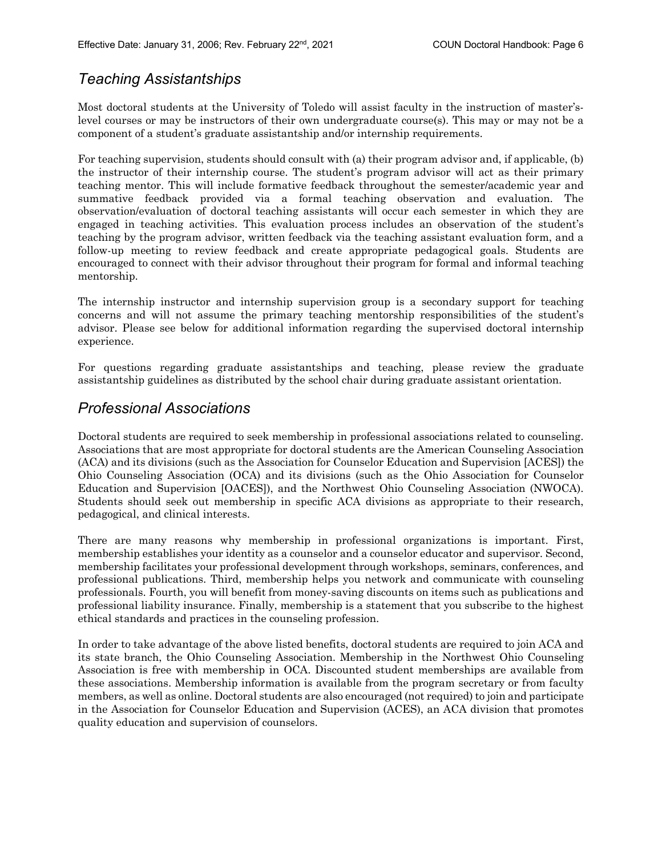### *Teaching Assistantships*

Most doctoral students at the University of Toledo will assist faculty in the instruction of master'slevel courses or may be instructors of their own undergraduate course(s). This may or may not be a component of a student's graduate assistantship and/or internship requirements.

For teaching supervision, students should consult with (a) their program advisor and, if applicable, (b) the instructor of their internship course. The student's program advisor will act as their primary teaching mentor. This will include formative feedback throughout the semester/academic year and summative feedback provided via a formal teaching observation and evaluation. The observation/evaluation of doctoral teaching assistants will occur each semester in which they are engaged in teaching activities. This evaluation process includes an observation of the student's teaching by the program advisor, written feedback via the teaching assistant evaluation form, and a follow-up meeting to review feedback and create appropriate pedagogical goals. Students are encouraged to connect with their advisor throughout their program for formal and informal teaching mentorship.

The internship instructor and internship supervision group is a secondary support for teaching concerns and will not assume the primary teaching mentorship responsibilities of the student's advisor. Please see below for additional information regarding the supervised doctoral internship experience.

For questions regarding graduate assistantships and teaching, please review the graduate assistantship guidelines as distributed by the school chair during graduate assistant orientation.

### *Professional Associations*

Doctoral students are required to seek membership in professional associations related to counseling. Associations that are most appropriate for doctoral students are the American Counseling Association (ACA) and its divisions (such as the Association for Counselor Education and Supervision [ACES]) the Ohio Counseling Association (OCA) and its divisions (such as the Ohio Association for Counselor Education and Supervision [OACES]), and the Northwest Ohio Counseling Association (NWOCA). Students should seek out membership in specific ACA divisions as appropriate to their research, pedagogical, and clinical interests.

There are many reasons why membership in professional organizations is important. First, membership establishes your identity as a counselor and a counselor educator and supervisor. Second, membership facilitates your professional development through workshops, seminars, conferences, and professional publications. Third, membership helps you network and communicate with counseling professionals. Fourth, you will benefit from money-saving discounts on items such as publications and professional liability insurance. Finally, membership is a statement that you subscribe to the highest ethical standards and practices in the counseling profession.

In order to take advantage of the above listed benefits, doctoral students are required to join ACA and its state branch, the Ohio Counseling Association. Membership in the Northwest Ohio Counseling Association is free with membership in OCA. Discounted student memberships are available from these associations. Membership information is available from the program secretary or from faculty members, as well as online. Doctoral students are also encouraged (not required) to join and participate in the Association for Counselor Education and Supervision (ACES), an ACA division that promotes quality education and supervision of counselors.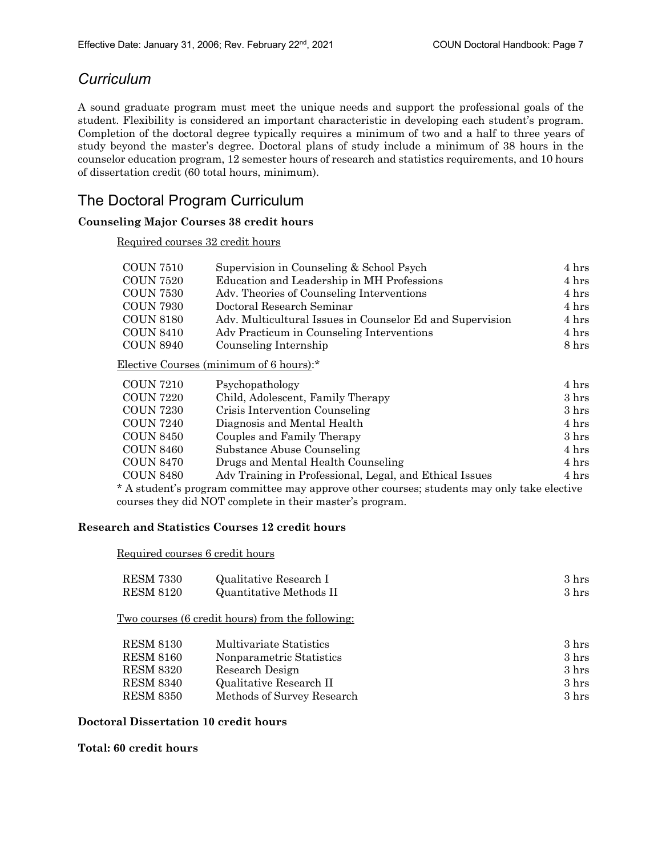### *Curriculum*

A sound graduate program must meet the unique needs and support the professional goals of the student. Flexibility is considered an important characteristic in developing each student's program. Completion of the doctoral degree typically requires a minimum of two and a half to three years of study beyond the master's degree. Doctoral plans of study include a minimum of 38 hours in the counselor education program, 12 semester hours of research and statistics requirements, and 10 hours of dissertation credit (60 total hours, minimum).

# The Doctoral Program Curriculum

#### **Counseling Major Courses 38 credit hours**

Required courses 32 credit hours

| COUN 7510 | Supervision in Counseling & School Psych                  | 4 hrs |
|-----------|-----------------------------------------------------------|-------|
| COUN 7520 | Education and Leadership in MH Professions                | 4 hrs |
| COUN 7530 | Adv. Theories of Counseling Interventions                 | 4 hrs |
| COUN 7930 | Doctoral Research Seminar                                 | 4 hrs |
| COUN 8180 | Adv. Multicultural Issues in Counselor Ed and Supervision | 4 hrs |
| COUN 8410 | Adv Practicum in Counseling Interventions                 | 4 hrs |
| COUN 8940 | Counseling Internship                                     | 8 hrs |
|           |                                                           |       |

Elective Courses (minimum of 6 hours):\*

| <b>COUN 7210</b> | Psychopathology                                                                            | 4 hrs           |
|------------------|--------------------------------------------------------------------------------------------|-----------------|
| <b>COUN 7220</b> | Child, Adolescent, Family Therapy                                                          | $3 \text{ hrs}$ |
| <b>COUN 7230</b> | Crisis Intervention Counseling                                                             | $3 \text{ hrs}$ |
| <b>COUN 7240</b> | Diagnosis and Mental Health                                                                | 4 hrs           |
| <b>COUN 8450</b> | Couples and Family Therapy                                                                 | $3 \text{ hrs}$ |
| <b>COUN 8460</b> | Substance Abuse Counseling                                                                 | 4 hrs           |
| <b>COUN 8470</b> | Drugs and Mental Health Counseling                                                         | 4 hrs           |
| <b>COUN 8480</b> | Adv Training in Professional, Legal, and Ethical Issues                                    | 4 hrs           |
|                  | * A student's program committee may approve other courses; students may only take elective |                 |

courses they did NOT complete in their master's program.

#### **Research and Statistics Courses 12 credit hours**

Required courses 6 credit hours

| <b>RESM 7330</b> | Qualitative Research I                                  | $3 \text{ hrs}$ |
|------------------|---------------------------------------------------------|-----------------|
| <b>RESM 8120</b> | <b>Quantitative Methods II</b>                          | $3 \text{ hrs}$ |
|                  | <u>Two courses (6 credit hours) from the following:</u> |                 |
| <b>RESM 8130</b> | Multivariate Statistics                                 | $3 \text{ hrs}$ |
| <b>RESM 8160</b> | Nonparametric Statistics                                | $3 \text{ hrs}$ |
| <b>RESM 8320</b> | Research Design                                         | $3 \text{ hrs}$ |
| <b>RESM 8340</b> | Qualitative Research II                                 | $3 \text{ hrs}$ |
| <b>RESM 8350</b> | Methods of Survey Research                              | $3 \text{ hrs}$ |

#### **Doctoral Dissertation 10 credit hours**

**Total: 60 credit hours**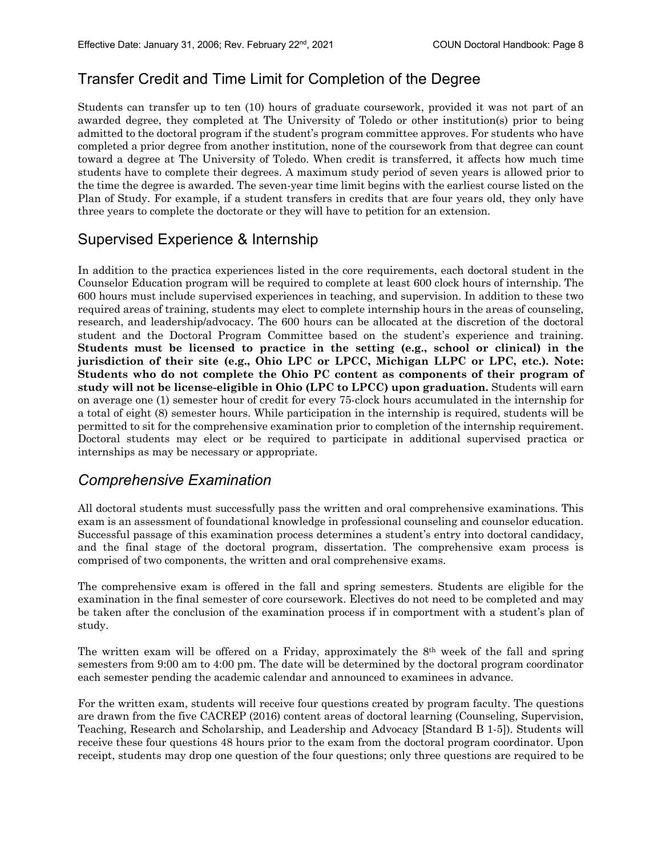# Transfer Credit and Time Limit for Completion of the Degree

Students can transfer up to ten (10) hours of graduate coursework, provided it was not part of an awarded degree, they completed at The University of Toledo or other institution(s) prior to being admitted to the doctoral program if the student's program committee approves. For students who have completed a prior degree from another institution, none of the coursework from that degree can count toward a degree at The University of Toledo. When credit is transferred, it affects how much time students have to complete their degrees. A maximum study period of seven years is allowed prior to the time the degree is awarded. The seven-year time limit begins with the earliest course listed on the Plan of Study. For example, if a student transfers in credits that are four years old, they only have three years to complete the doctorate or they will have to petition for an extension.

### Supervised Experience & Internship

In addition to the practica experiences listed in the core requirements, each doctoral student in the Counselor Education program will be required to complete at least 600 clock hours of internship. The 600 hours must include supervised experiences in teaching, and supervision. In addition to these two required areas of training, students may elect to complete internship hours in the areas of counseling, research, and leadership/advocacy. The 600 hours can be allocated at the discretion of the doctoral student and the Doctoral Program Committee based on the student's experience and training. **Students must be licensed to practice in the setting (e.g., school or clinical) in the jurisdiction of their site (e.g., Ohio LPC or LPCC, Michigan LLPC or LPC, etc.). Note: Students who do not complete the Ohio PC content as components of their program of study will not be license-eligible in Ohio (LPC to LPCC) upon graduation.** Students will earn on average one (1) semester hour of credit for every 75-clock hours accumulated in the internship for a total of eight (8) semester hours. While participation in the internship is required, students will be permitted to sit for the comprehensive examination prior to completion of the internship requirement. Doctoral students may elect or be required to participate in additional supervised practica or internships as may be necessary or appropriate.

### *Comprehensive Examination*

All doctoral students must successfully pass the written and oral comprehensive examinations. This exam is an assessment of foundational knowledge in professional counseling and counselor education. Successful passage of this examination process determines a student's entry into doctoral candidacy, and the final stage of the doctoral program, dissertation. The comprehensive exam process is comprised of two components, the written and oral comprehensive exams.

The comprehensive exam is offered in the fall and spring semesters. Students are eligible for the examination in the final semester of core coursework. Electives do not need to be completed and may be taken after the conclusion of the examination process if in comportment with a student's plan of study.

The written exam will be offered on a Friday, approximately the 8th week of the fall and spring semesters from 9:00 am to 4:00 pm. The date will be determined by the doctoral program coordinator each semester pending the academic calendar and announced to examinees in advance.

For the written exam, students will receive four questions created by program faculty. The questions are drawn from the five CACREP (2016) content areas of doctoral learning (Counseling, Supervision, Teaching, Research and Scholarship, and Leadership and Advocacy [Standard B 1-5]). Students will receive these four questions 48 hours prior to the exam from the doctoral program coordinator. Upon receipt, students may drop one question of the four questions; only three questions are required to be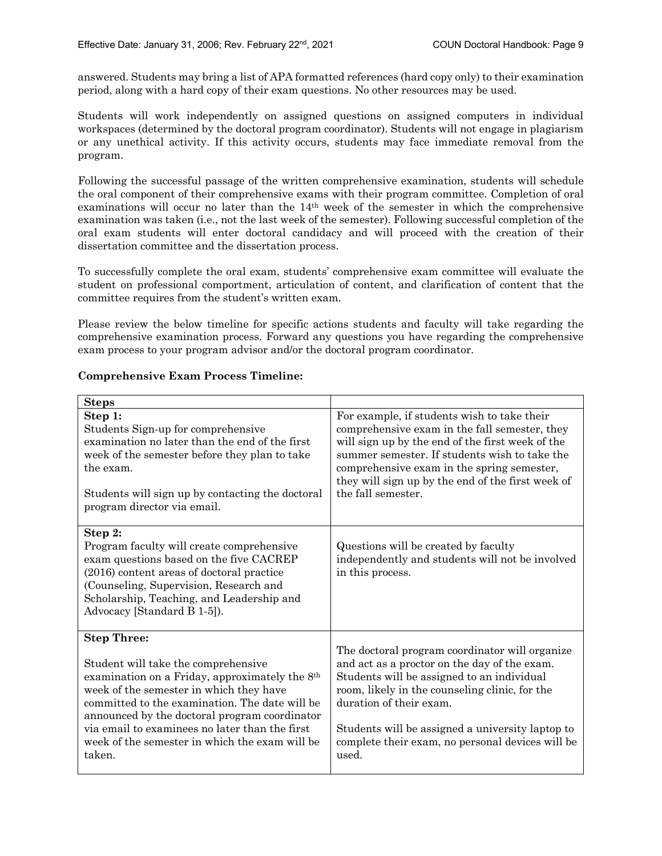answered. Students may bring a list of APA formatted references (hard copy only) to their examination period, along with a hard copy of their exam questions. No other resources may be used.

Students will work independently on assigned questions on assigned computers in individual workspaces (determined by the doctoral program coordinator). Students will not engage in plagiarism or any unethical activity. If this activity occurs, students may face immediate removal from the program.

Following the successful passage of the written comprehensive examination, students will schedule the oral component of their comprehensive exams with their program committee. Completion of oral examinations will occur no later than the 14th week of the semester in which the comprehensive examination was taken (i.e., not the last week of the semester). Following successful completion of the oral exam students will enter doctoral candidacy and will proceed with the creation of their dissertation committee and the dissertation process.

To successfully complete the oral exam, students' comprehensive exam committee will evaluate the student on professional comportment, articulation of content, and clarification of content that the committee requires from the student's written exam.

Please review the below timeline for specific actions students and faculty will take regarding the comprehensive examination process. Forward any questions you have regarding the comprehensive exam process to your program advisor and/or the doctoral program coordinator.

| <b>Steps</b>                                                                                                                                                                                                                                                                                                                                                            |                                                                                                                                                                                                                                                                                                                                            |
|-------------------------------------------------------------------------------------------------------------------------------------------------------------------------------------------------------------------------------------------------------------------------------------------------------------------------------------------------------------------------|--------------------------------------------------------------------------------------------------------------------------------------------------------------------------------------------------------------------------------------------------------------------------------------------------------------------------------------------|
| Step 1:<br>Students Sign-up for comprehensive<br>examination no later than the end of the first<br>week of the semester before they plan to take<br>the exam.<br>Students will sign up by contacting the doctoral<br>program director via email.                                                                                                                        | For example, if students wish to take their<br>comprehensive exam in the fall semester, they<br>will sign up by the end of the first week of the<br>summer semester. If students wish to take the<br>comprehensive exam in the spring semester,<br>they will sign up by the end of the first week of<br>the fall semester.                 |
| Step 2:<br>Program faculty will create comprehensive<br>exam questions based on the five CACREP<br>(2016) content areas of doctoral practice<br>(Counseling, Supervision, Research and<br>Scholarship, Teaching, and Leadership and<br>Advocacy [Standard B 1-5]).                                                                                                      | Questions will be created by faculty<br>independently and students will not be involved<br>in this process.                                                                                                                                                                                                                                |
| <b>Step Three:</b><br>Student will take the comprehensive<br>examination on a Friday, approximately the 8th<br>week of the semester in which they have<br>committed to the examination. The date will be<br>announced by the doctoral program coordinator<br>via email to examinees no later than the first<br>week of the semester in which the exam will be<br>taken. | The doctoral program coordinator will organize<br>and act as a proctor on the day of the exam.<br>Students will be assigned to an individual<br>room, likely in the counseling clinic, for the<br>duration of their exam.<br>Students will be assigned a university laptop to<br>complete their exam, no personal devices will be<br>used. |

#### **Comprehensive Exam Process Timeline:**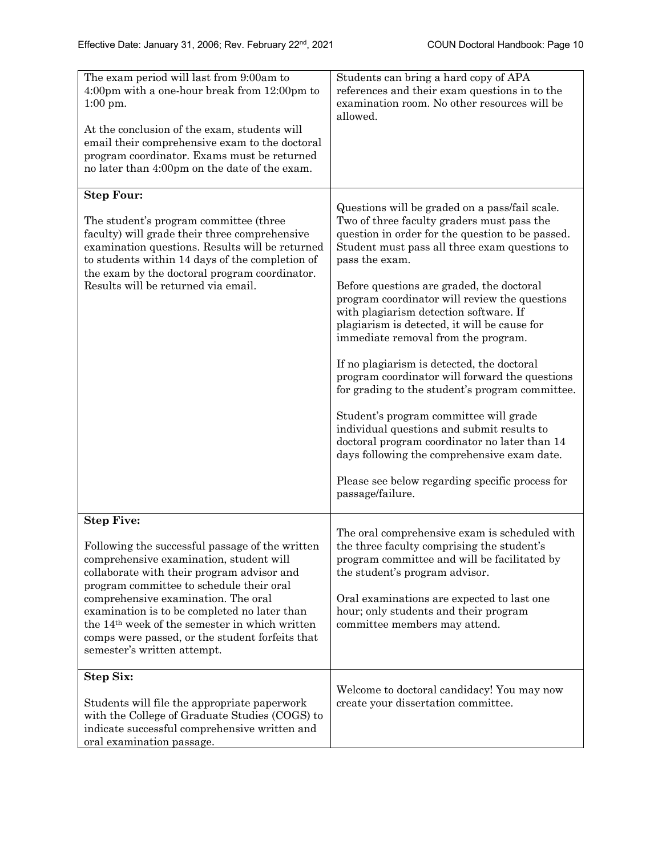| The exam period will last from 9:00am to<br>4:00pm with a one-hour break from 12:00pm to<br>$1:00$ pm.<br>At the conclusion of the exam, students will<br>email their comprehensive exam to the doctoral<br>program coordinator. Exams must be returned<br>no later than 4:00pm on the date of the exam.                                                                                                                                         | Students can bring a hard copy of APA<br>references and their exam questions in to the<br>examination room. No other resources will be<br>allowed.                                                                                                                                                                                                                                                                                                                                                                                                                                                                                                                                                                                                                                                                                                                   |  |
|--------------------------------------------------------------------------------------------------------------------------------------------------------------------------------------------------------------------------------------------------------------------------------------------------------------------------------------------------------------------------------------------------------------------------------------------------|----------------------------------------------------------------------------------------------------------------------------------------------------------------------------------------------------------------------------------------------------------------------------------------------------------------------------------------------------------------------------------------------------------------------------------------------------------------------------------------------------------------------------------------------------------------------------------------------------------------------------------------------------------------------------------------------------------------------------------------------------------------------------------------------------------------------------------------------------------------------|--|
| <b>Step Four:</b><br>The student's program committee (three<br>faculty) will grade their three comprehensive<br>examination questions. Results will be returned<br>to students within 14 days of the completion of<br>the exam by the doctoral program coordinator.<br>Results will be returned via email.                                                                                                                                       | Questions will be graded on a pass/fail scale.<br>Two of three faculty graders must pass the<br>question in order for the question to be passed.<br>Student must pass all three exam questions to<br>pass the exam.<br>Before questions are graded, the doctoral<br>program coordinator will review the questions<br>with plagiarism detection software. If<br>plagiarism is detected, it will be cause for<br>immediate removal from the program.<br>If no plagiarism is detected, the doctoral<br>program coordinator will forward the questions<br>for grading to the student's program committee.<br>Student's program committee will grade<br>individual questions and submit results to<br>doctoral program coordinator no later than 14<br>days following the comprehensive exam date.<br>Please see below regarding specific process for<br>passage/failure. |  |
| <b>Step Five:</b><br>Following the successful passage of the written<br>comprehensive examination, student will<br>collaborate with their program advisor and<br>program committee to schedule their oral<br>comprehensive examination. The oral<br>examination is to be completed no later than<br>the 14 <sup>th</sup> week of the semester in which written<br>comps were passed, or the student forfeits that<br>semester's written attempt. | The oral comprehensive exam is scheduled with<br>the three faculty comprising the student's<br>program committee and will be facilitated by<br>the student's program advisor.<br>Oral examinations are expected to last one<br>hour; only students and their program<br>committee members may attend.                                                                                                                                                                                                                                                                                                                                                                                                                                                                                                                                                                |  |
| <b>Step Six:</b><br>Students will file the appropriate paperwork<br>with the College of Graduate Studies (COGS) to<br>indicate successful comprehensive written and<br>oral examination passage.                                                                                                                                                                                                                                                 | Welcome to doctoral candidacy! You may now<br>create your dissertation committee.                                                                                                                                                                                                                                                                                                                                                                                                                                                                                                                                                                                                                                                                                                                                                                                    |  |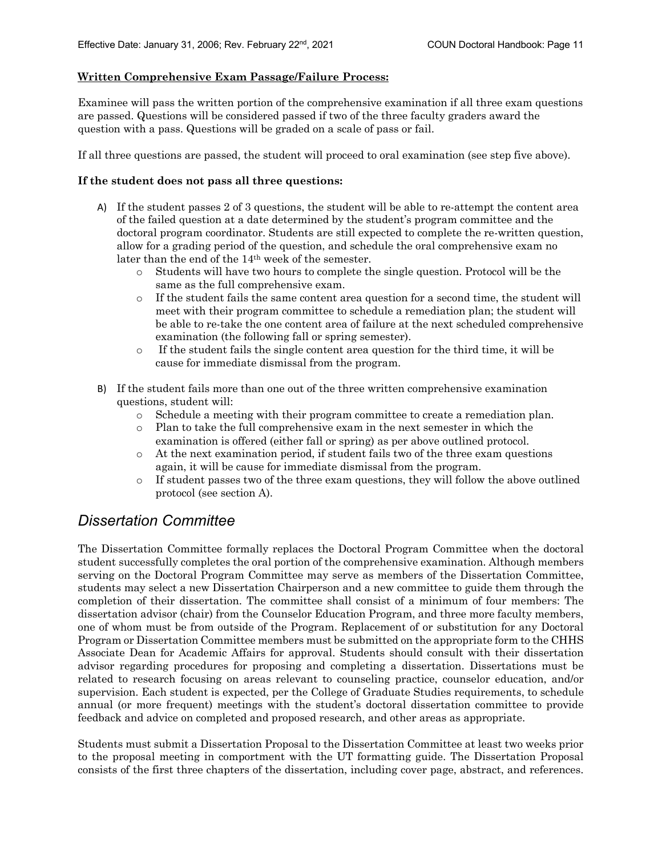#### **Written Comprehensive Exam Passage/Failure Process:**

Examinee will pass the written portion of the comprehensive examination if all three exam questions are passed. Questions will be considered passed if two of the three faculty graders award the question with a pass. Questions will be graded on a scale of pass or fail.

If all three questions are passed, the student will proceed to oral examination (see step five above).

#### **If the student does not pass all three questions:**

- A) If the student passes 2 of 3 questions, the student will be able to re-attempt the content area of the failed question at a date determined by the student's program committee and the doctoral program coordinator. Students are still expected to complete the re-written question, allow for a grading period of the question, and schedule the oral comprehensive exam no later than the end of the 14th week of the semester.
	- o Students will have two hours to complete the single question. Protocol will be the same as the full comprehensive exam.
	- o If the student fails the same content area question for a second time, the student will meet with their program committee to schedule a remediation plan; the student will be able to re-take the one content area of failure at the next scheduled comprehensive examination (the following fall or spring semester).
	- o If the student fails the single content area question for the third time, it will be cause for immediate dismissal from the program.
- B) If the student fails more than one out of the three written comprehensive examination questions, student will:
	- o Schedule a meeting with their program committee to create a remediation plan.
	- o Plan to take the full comprehensive exam in the next semester in which the examination is offered (either fall or spring) as per above outlined protocol.
	- o At the next examination period, if student fails two of the three exam questions again, it will be cause for immediate dismissal from the program.
	- o If student passes two of the three exam questions, they will follow the above outlined protocol (see section A).

### *Dissertation Committee*

The Dissertation Committee formally replaces the Doctoral Program Committee when the doctoral student successfully completes the oral portion of the comprehensive examination. Although members serving on the Doctoral Program Committee may serve as members of the Dissertation Committee, students may select a new Dissertation Chairperson and a new committee to guide them through the completion of their dissertation. The committee shall consist of a minimum of four members: The dissertation advisor (chair) from the Counselor Education Program, and three more faculty members, one of whom must be from outside of the Program. Replacement of or substitution for any Doctoral Program or Dissertation Committee members must be submitted on the appropriate form to the CHHS Associate Dean for Academic Affairs for approval. Students should consult with their dissertation advisor regarding procedures for proposing and completing a dissertation. Dissertations must be related to research focusing on areas relevant to counseling practice, counselor education, and/or supervision. Each student is expected, per the College of Graduate Studies requirements, to schedule annual (or more frequent) meetings with the student's doctoral dissertation committee to provide feedback and advice on completed and proposed research, and other areas as appropriate.

Students must submit a Dissertation Proposal to the Dissertation Committee at least two weeks prior to the proposal meeting in comportment with the UT formatting guide. The Dissertation Proposal consists of the first three chapters of the dissertation, including cover page, abstract, and references.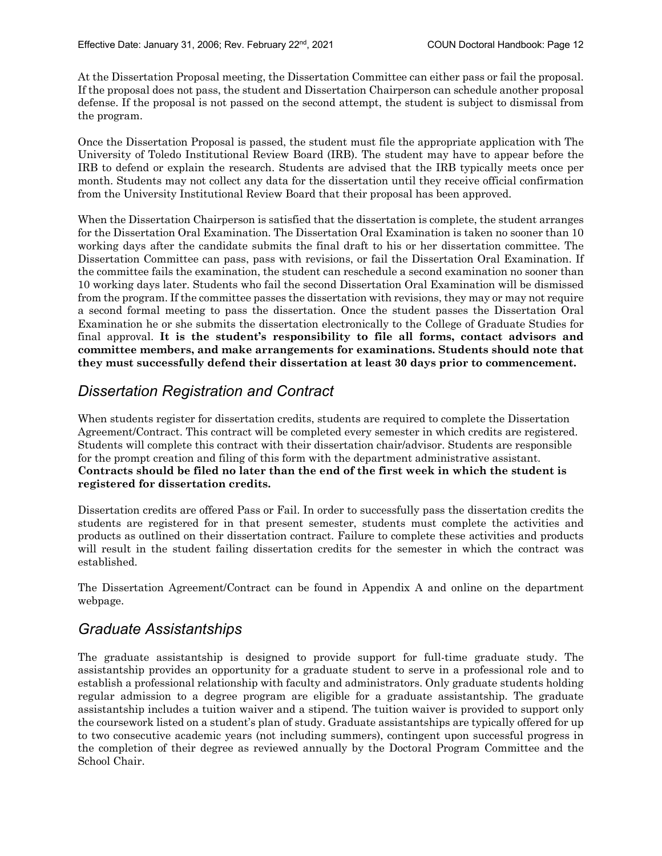At the Dissertation Proposal meeting, the Dissertation Committee can either pass or fail the proposal. If the proposal does not pass, the student and Dissertation Chairperson can schedule another proposal defense. If the proposal is not passed on the second attempt, the student is subject to dismissal from the program.

Once the Dissertation Proposal is passed, the student must file the appropriate application with The University of Toledo Institutional Review Board (IRB). The student may have to appear before the IRB to defend or explain the research. Students are advised that the IRB typically meets once per month. Students may not collect any data for the dissertation until they receive official confirmation from the University Institutional Review Board that their proposal has been approved.

When the Dissertation Chairperson is satisfied that the dissertation is complete, the student arranges for the Dissertation Oral Examination. The Dissertation Oral Examination is taken no sooner than 10 working days after the candidate submits the final draft to his or her dissertation committee. The Dissertation Committee can pass, pass with revisions, or fail the Dissertation Oral Examination. If the committee fails the examination, the student can reschedule a second examination no sooner than 10 working days later. Students who fail the second Dissertation Oral Examination will be dismissed from the program. If the committee passes the dissertation with revisions, they may or may not require a second formal meeting to pass the dissertation. Once the student passes the Dissertation Oral Examination he or she submits the dissertation electronically to the College of Graduate Studies for final approval. **It is the student's responsibility to file all forms, contact advisors and committee members, and make arrangements for examinations. Students should note that they must successfully defend their dissertation at least 30 days prior to commencement.**

# *Dissertation Registration and Contract*

When students register for dissertation credits, students are required to complete the Dissertation Agreement/Contract. This contract will be completed every semester in which credits are registered. Students will complete this contract with their dissertation chair/advisor. Students are responsible for the prompt creation and filing of this form with the department administrative assistant. **Contracts should be filed no later than the end of the first week in which the student is registered for dissertation credits.**

Dissertation credits are offered Pass or Fail. In order to successfully pass the dissertation credits the students are registered for in that present semester, students must complete the activities and products as outlined on their dissertation contract. Failure to complete these activities and products will result in the student failing dissertation credits for the semester in which the contract was established.

The Dissertation Agreement/Contract can be found in Appendix A and online on the department webpage.

# *Graduate Assistantships*

The graduate assistantship is designed to provide support for full-time graduate study. The assistantship provides an opportunity for a graduate student to serve in a professional role and to establish a professional relationship with faculty and administrators. Only graduate students holding regular admission to a degree program are eligible for a graduate assistantship. The graduate assistantship includes a tuition waiver and a stipend. The tuition waiver is provided to support only the coursework listed on a student's plan of study. Graduate assistantships are typically offered for up to two consecutive academic years (not including summers), contingent upon successful progress in the completion of their degree as reviewed annually by the Doctoral Program Committee and the School Chair.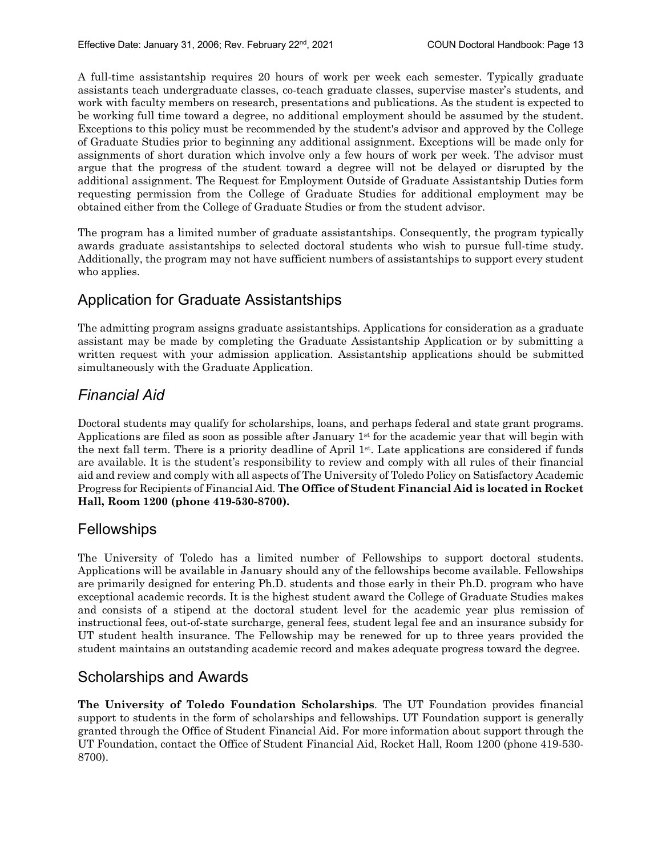A full-time assistantship requires 20 hours of work per week each semester. Typically graduate assistants teach undergraduate classes, co-teach graduate classes, supervise master's students, and work with faculty members on research, presentations and publications. As the student is expected to be working full time toward a degree, no additional employment should be assumed by the student. Exceptions to this policy must be recommended by the student's advisor and approved by the College of Graduate Studies prior to beginning any additional assignment. Exceptions will be made only for assignments of short duration which involve only a few hours of work per week. The advisor must argue that the progress of the student toward a degree will not be delayed or disrupted by the additional assignment. The Request for Employment Outside of Graduate Assistantship Duties form requesting permission from the College of Graduate Studies for additional employment may be obtained either from the College of Graduate Studies or from the student advisor.

The program has a limited number of graduate assistantships. Consequently, the program typically awards graduate assistantships to selected doctoral students who wish to pursue full-time study. Additionally, the program may not have sufficient numbers of assistantships to support every student who applies.

# Application for Graduate Assistantships

The admitting program assigns graduate assistantships. Applications for consideration as a graduate assistant may be made by completing the Graduate Assistantship Application or by submitting a written request with your admission application. Assistantship applications should be submitted simultaneously with the Graduate Application.

# *Financial Aid*

Doctoral students may qualify for scholarships, loans, and perhaps federal and state grant programs. Applications are filed as soon as possible after January  $1<sup>st</sup>$  for the academic year that will begin with the next fall term. There is a priority deadline of April 1st. Late applications are considered if funds are available. It is the student's responsibility to review and comply with all rules of their financial aid and review and comply with all aspects of The University of Toledo Policy on Satisfactory Academic Progress for Recipients of Financial Aid. **The Office of Student Financial Aid is located in Rocket Hall, Room 1200 (phone 419-530-8700).**

### Fellowships

The University of Toledo has a limited number of Fellowships to support doctoral students. Applications will be available in January should any of the fellowships become available. Fellowships are primarily designed for entering Ph.D. students and those early in their Ph.D. program who have exceptional academic records. It is the highest student award the College of Graduate Studies makes and consists of a stipend at the doctoral student level for the academic year plus remission of instructional fees, out-of-state surcharge, general fees, student legal fee and an insurance subsidy for UT student health insurance. The Fellowship may be renewed for up to three years provided the student maintains an outstanding academic record and makes adequate progress toward the degree.

### Scholarships and Awards

**The University of Toledo Foundation Scholarships**. The UT Foundation provides financial support to students in the form of scholarships and fellowships. UT Foundation support is generally granted through the Office of Student Financial Aid. For more information about support through the UT Foundation, contact the Office of Student Financial Aid, Rocket Hall, Room 1200 (phone 419-530- 8700).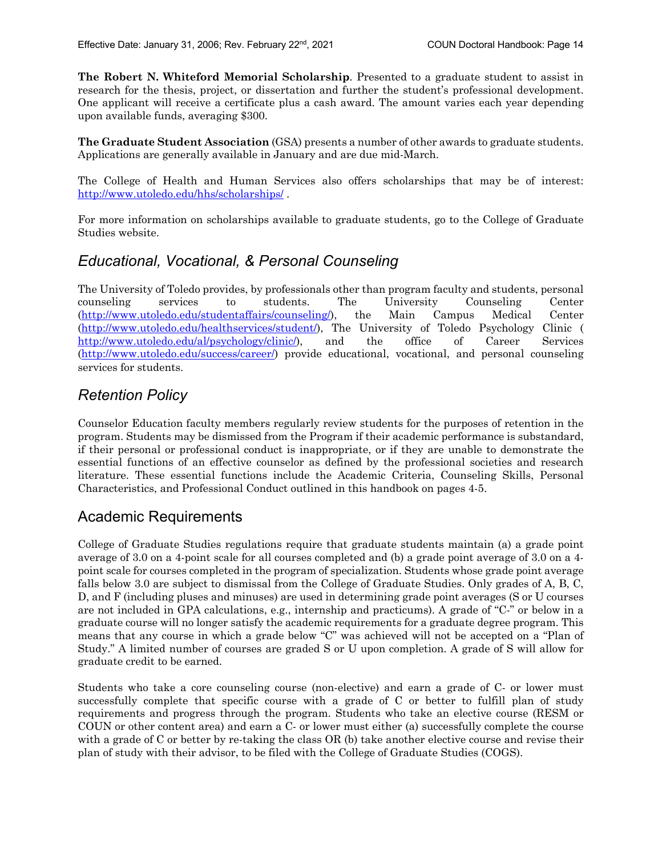**The Robert N. Whiteford Memorial Scholarship**. Presented to a graduate student to assist in research for the thesis, project, or dissertation and further the student's professional development. One applicant will receive a certificate plus a cash award. The amount varies each year depending upon available funds, averaging \$300.

**The Graduate Student Association** (GSA) presents a number of other awards to graduate students. Applications are generally available in January and are due mid-March.

The College of Health and Human Services also offers scholarships that may be of interest: http://www.utoledo.edu/hhs/scholarships/ .

For more information on scholarships available to graduate students, go to the College of Graduate Studies website.

### *Educational, Vocational, & Personal Counseling*

The University of Toledo provides, by professionals other than program faculty and students, personal counseling services to students. The University Counseling Center (http://www.utoledo.edu/studentaffairs/counseling/), the Main Campus Medical Center (http://www.utoledo.edu/healthservices/student/), The University of Toledo Psychology Clinic ( http://www.utoledo.edu/al/psychology/clinic/), and the office of Career Services (http://www.utoledo.edu/success/career/) provide educational, vocational, and personal counseling services for students.

### *Retention Policy*

Counselor Education faculty members regularly review students for the purposes of retention in the program. Students may be dismissed from the Program if their academic performance is substandard, if their personal or professional conduct is inappropriate, or if they are unable to demonstrate the essential functions of an effective counselor as defined by the professional societies and research literature. These essential functions include the Academic Criteria, Counseling Skills, Personal Characteristics, and Professional Conduct outlined in this handbook on pages 4-5.

# Academic Requirements

College of Graduate Studies regulations require that graduate students maintain (a) a grade point average of 3.0 on a 4-point scale for all courses completed and (b) a grade point average of 3.0 on a 4 point scale for courses completed in the program of specialization. Students whose grade point average falls below 3.0 are subject to dismissal from the College of Graduate Studies. Only grades of A, B, C, D, and F (including pluses and minuses) are used in determining grade point averages (S or U courses are not included in GPA calculations, e.g., internship and practicums). A grade of "C-" or below in a graduate course will no longer satisfy the academic requirements for a graduate degree program. This means that any course in which a grade below "C" was achieved will not be accepted on a "Plan of Study." A limited number of courses are graded S or U upon completion. A grade of S will allow for graduate credit to be earned.

Students who take a core counseling course (non-elective) and earn a grade of C- or lower must successfully complete that specific course with a grade of C or better to fulfill plan of study requirements and progress through the program. Students who take an elective course (RESM or COUN or other content area) and earn a C- or lower must either (a) successfully complete the course with a grade of C or better by re-taking the class OR (b) take another elective course and revise their plan of study with their advisor, to be filed with the College of Graduate Studies (COGS).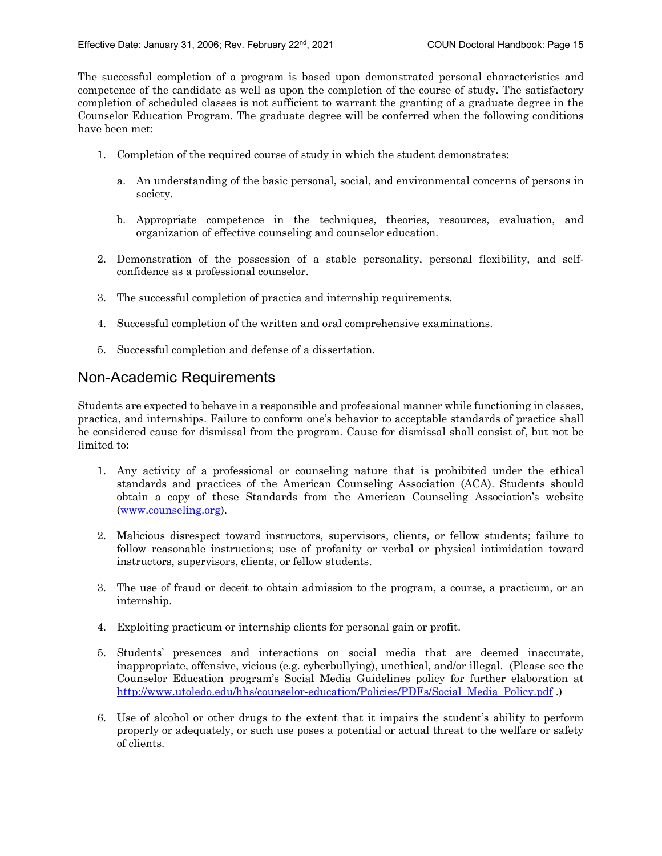The successful completion of a program is based upon demonstrated personal characteristics and competence of the candidate as well as upon the completion of the course of study. The satisfactory completion of scheduled classes is not sufficient to warrant the granting of a graduate degree in the Counselor Education Program. The graduate degree will be conferred when the following conditions have been met:

- 1. Completion of the required course of study in which the student demonstrates:
	- a. An understanding of the basic personal, social, and environmental concerns of persons in society.
	- b. Appropriate competence in the techniques, theories, resources, evaluation, and organization of effective counseling and counselor education.
- 2. Demonstration of the possession of a stable personality, personal flexibility, and selfconfidence as a professional counselor.
- 3. The successful completion of practica and internship requirements.
- 4. Successful completion of the written and oral comprehensive examinations.
- 5. Successful completion and defense of a dissertation.

### Non-Academic Requirements

Students are expected to behave in a responsible and professional manner while functioning in classes, practica, and internships. Failure to conform one's behavior to acceptable standards of practice shall be considered cause for dismissal from the program. Cause for dismissal shall consist of, but not be limited to:

- 1. Any activity of a professional or counseling nature that is prohibited under the ethical standards and practices of the American Counseling Association (ACA). Students should obtain a copy of these Standards from the American Counseling Association's website (www.counseling.org).
- 2. Malicious disrespect toward instructors, supervisors, clients, or fellow students; failure to follow reasonable instructions; use of profanity or verbal or physical intimidation toward instructors, supervisors, clients, or fellow students.
- 3. The use of fraud or deceit to obtain admission to the program, a course, a practicum, or an internship.
- 4. Exploiting practicum or internship clients for personal gain or profit.
- 5. Students' presences and interactions on social media that are deemed inaccurate, inappropriate, offensive, vicious (e.g. cyberbullying), unethical, and/or illegal. (Please see the Counselor Education program's Social Media Guidelines policy for further elaboration at http://www.utoledo.edu/hhs/counselor-education/Policies/PDFs/Social\_Media\_Policy.pdf .)
- 6. Use of alcohol or other drugs to the extent that it impairs the student's ability to perform properly or adequately, or such use poses a potential or actual threat to the welfare or safety of clients.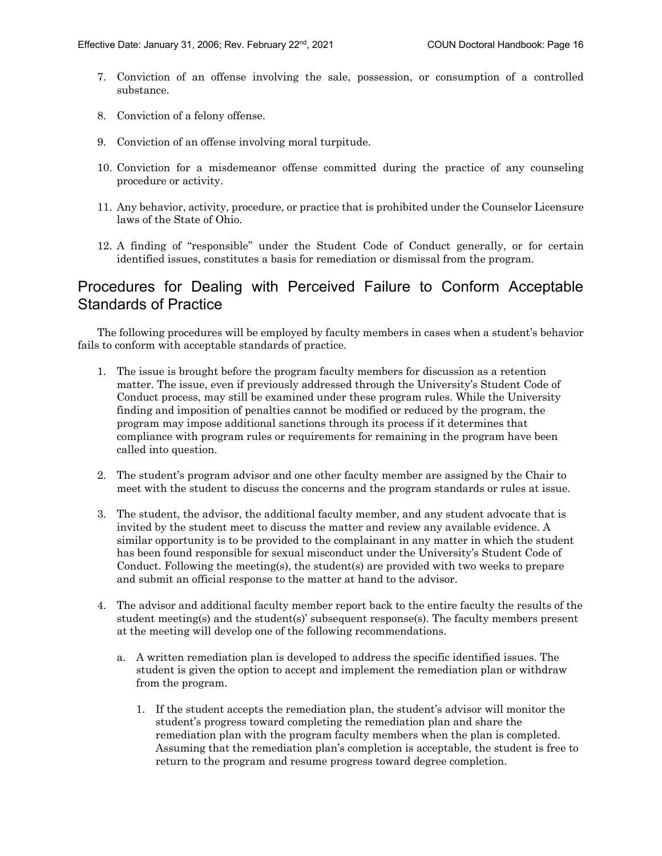- 7. Conviction of an offense involving the sale, possession, or consumption of a controlled substance.
- 8. Conviction of a felony offense.
- 9. Conviction of an offense involving moral turpitude.
- 10. Conviction for a misdemeanor offense committed during the practice of any counseling procedure or activity.
- 11. Any behavior, activity, procedure, or practice that is prohibited under the Counselor Licensure laws of the State of Ohio.
- 12. A finding of "responsible" under the Student Code of Conduct generally, or for certain identified issues, constitutes a basis for remediation or dismissal from the program.

### Procedures for Dealing with Perceived Failure to Conform Acceptable Standards of Practice

The following procedures will be employed by faculty members in cases when a student's behavior fails to conform with acceptable standards of practice.

- 1. The issue is brought before the program faculty members for discussion as a retention matter. The issue, even if previously addressed through the University's Student Code of Conduct process, may still be examined under these program rules. While the University finding and imposition of penalties cannot be modified or reduced by the program, the program may impose additional sanctions through its process if it determines that compliance with program rules or requirements for remaining in the program have been called into question.
- 2. The student's program advisor and one other faculty member are assigned by the Chair to meet with the student to discuss the concerns and the program standards or rules at issue.
- 3. The student, the advisor, the additional faculty member, and any student advocate that is invited by the student meet to discuss the matter and review any available evidence. A similar opportunity is to be provided to the complainant in any matter in which the student has been found responsible for sexual misconduct under the University's Student Code of Conduct. Following the meeting(s), the student(s) are provided with two weeks to prepare and submit an official response to the matter at hand to the advisor.
- 4. The advisor and additional faculty member report back to the entire faculty the results of the student meeting(s) and the student(s)' subsequent response(s). The faculty members present at the meeting will develop one of the following recommendations.
	- a. A written remediation plan is developed to address the specific identified issues. The student is given the option to accept and implement the remediation plan or withdraw from the program.
		- 1. If the student accepts the remediation plan, the student's advisor will monitor the student's progress toward completing the remediation plan and share the remediation plan with the program faculty members when the plan is completed. Assuming that the remediation plan's completion is acceptable, the student is free to return to the program and resume progress toward degree completion.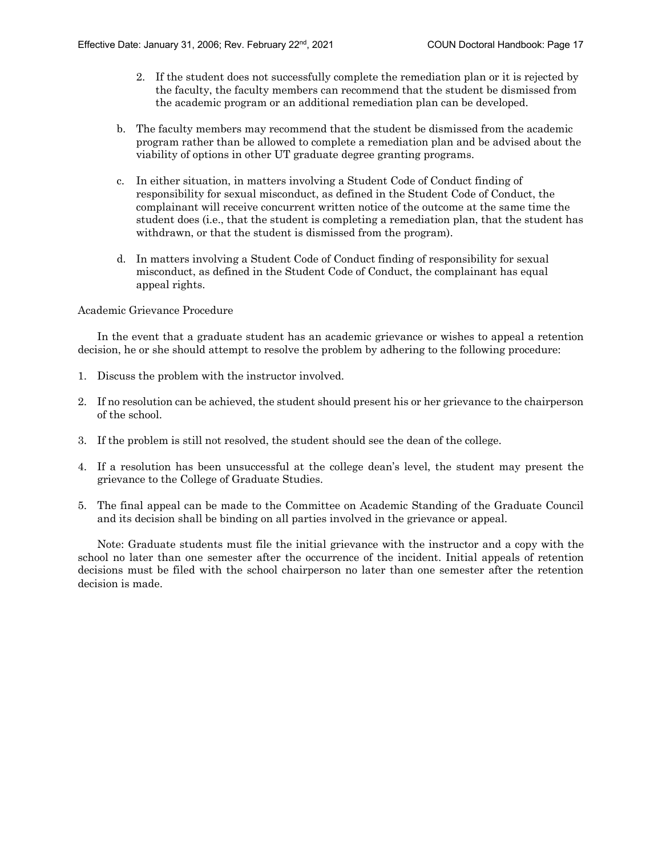- 2. If the student does not successfully complete the remediation plan or it is rejected by the faculty, the faculty members can recommend that the student be dismissed from the academic program or an additional remediation plan can be developed.
- b. The faculty members may recommend that the student be dismissed from the academic program rather than be allowed to complete a remediation plan and be advised about the viability of options in other UT graduate degree granting programs.
- c. In either situation, in matters involving a Student Code of Conduct finding of responsibility for sexual misconduct, as defined in the Student Code of Conduct, the complainant will receive concurrent written notice of the outcome at the same time the student does (i.e., that the student is completing a remediation plan, that the student has withdrawn, or that the student is dismissed from the program).
- d. In matters involving a Student Code of Conduct finding of responsibility for sexual misconduct, as defined in the Student Code of Conduct, the complainant has equal appeal rights.

#### Academic Grievance Procedure

In the event that a graduate student has an academic grievance or wishes to appeal a retention decision, he or she should attempt to resolve the problem by adhering to the following procedure:

- 1. Discuss the problem with the instructor involved.
- 2. If no resolution can be achieved, the student should present his or her grievance to the chairperson of the school.
- 3. If the problem is still not resolved, the student should see the dean of the college.
- 4. If a resolution has been unsuccessful at the college dean's level, the student may present the grievance to the College of Graduate Studies.
- 5. The final appeal can be made to the Committee on Academic Standing of the Graduate Council and its decision shall be binding on all parties involved in the grievance or appeal.

Note: Graduate students must file the initial grievance with the instructor and a copy with the school no later than one semester after the occurrence of the incident. Initial appeals of retention decisions must be filed with the school chairperson no later than one semester after the retention decision is made.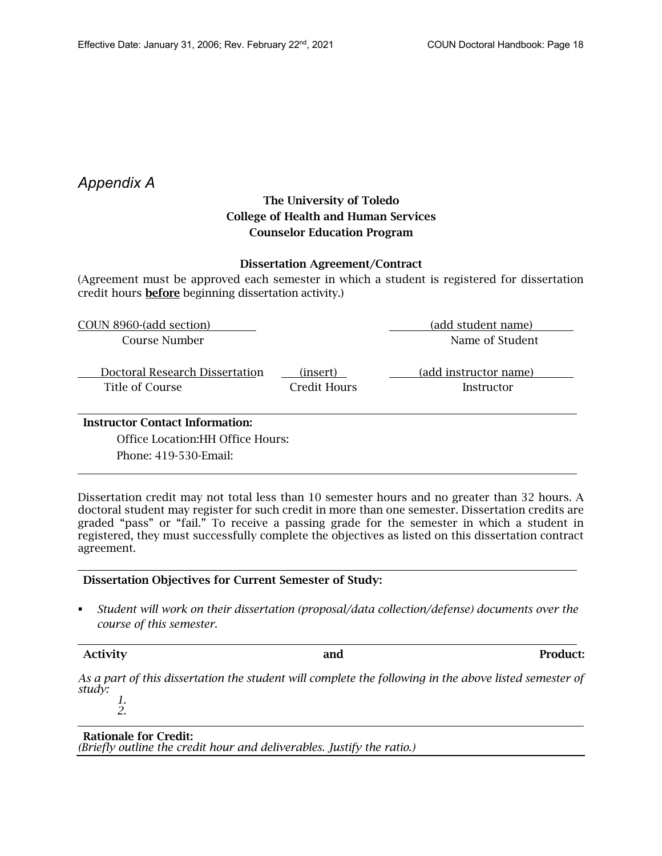### *Appendix A*

### The University of Toledo College of Health and Human Services Counselor Education Program

#### Dissertation Agreement/Contract

(Agreement must be approved each semester in which a student is registered for dissertation credit hours before beginning dissertation activity.)

| COUN 8960-(add section)                | (add student name) |                       |  |  |  |
|----------------------------------------|--------------------|-----------------------|--|--|--|
| Course Number                          | Name of Student    |                       |  |  |  |
|                                        |                    |                       |  |  |  |
| Doctoral Research Dissertation         | (insert)           | (add instructor name) |  |  |  |
| Title of Course                        | Credit Hours       | Instructor            |  |  |  |
|                                        |                    |                       |  |  |  |
| <b>Instructor Contact Information:</b> |                    |                       |  |  |  |

Office Location:HH Office Hours:

Phone: 419-530-Email:

Dissertation credit may not total less than 10 semester hours and no greater than 32 hours. A doctoral student may register for such credit in more than one semester. Dissertation credits are graded "pass" or "fail." To receive a passing grade for the semester in which a student in registered, they must successfully complete the objectives as listed on this dissertation contract agreement.

#### Dissertation Objectives for Current Semester of Study:

§ *Student will work on their dissertation (proposal/data collection/defense) documents over the course of this semester.*

#### Activity and Product:

*As a part of this dissertation the student will complete the following in the above listed semester of study: 1.* 

*2.*

Rationale for Credit: *(Briefly outline the credit hour and deliverables. Justify the ratio.)*